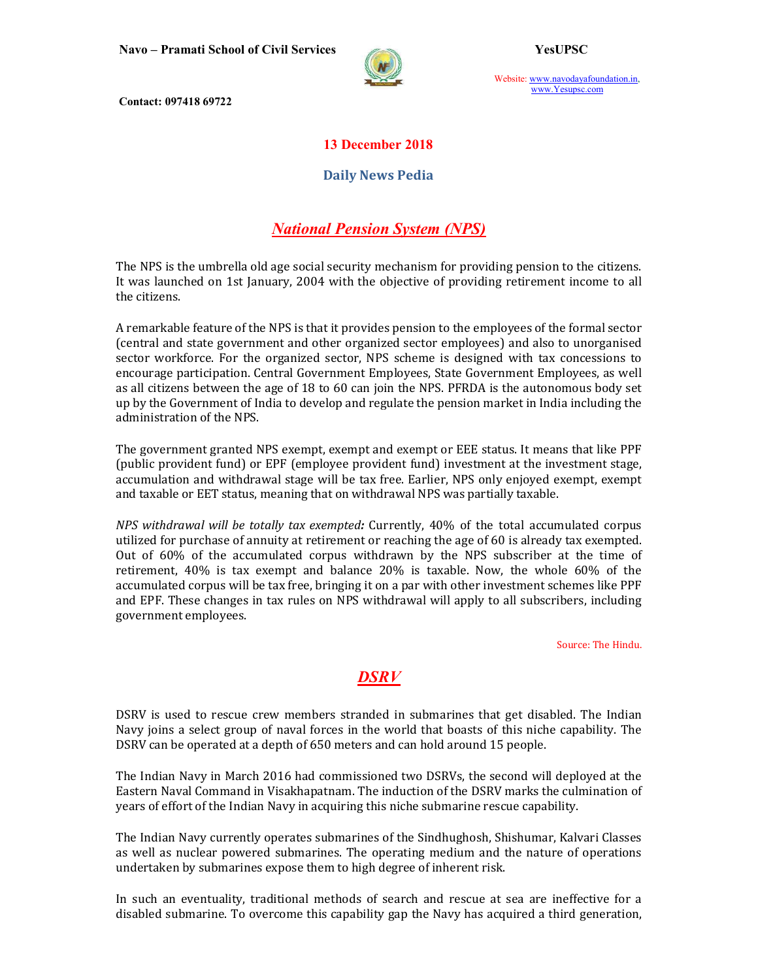

Website: www.navodayafoundation.in, www.Yesupsc.com

Contact: 097418 69722

#### 13 December 2018

#### Daily News Pedia

# National Pension System (NPS)

The NPS is the umbrella old age social security mechanism for providing pension to the citizens. It was launched on 1st January, 2004 with the objective of providing retirement income to all the citizens.

A remarkable feature of the NPS is that it provides pension to the employees of the formal sector (central and state government and other organized sector employees) and also to unorganised sector workforce. For the organized sector, NPS scheme is designed with tax concessions to encourage participation. Central Government Employees, State Government Employees, as well as all citizens between the age of 18 to 60 can join the NPS. PFRDA is the autonomous body set up by the Government of India to develop and regulate the pension market in India including the administration of the NPS.

The government granted NPS exempt, exempt and exempt or EEE status. It means that like PPF (public provident fund) or EPF (employee provident fund) investment at the investment stage, accumulation and withdrawal stage will be tax free. Earlier, NPS only enjoyed exempt, exempt and taxable or EET status, meaning that on withdrawal NPS was partially taxable.

NPS withdrawal will be totally tax exempted: Currently, 40% of the total accumulated corpus utilized for purchase of annuity at retirement or reaching the age of 60 is already tax exempted. Out of 60% of the accumulated corpus withdrawn by the NPS subscriber at the time of retirement, 40% is tax exempt and balance 20% is taxable. Now, the whole 60% of the accumulated corpus will be tax free, bringing it on a par with other investment schemes like PPF and EPF. These changes in tax rules on NPS withdrawal will apply to all subscribers, including government employees.

Source: The Hindu.

# **DSRV**

DSRV is used to rescue crew members stranded in submarines that get disabled. The Indian Navy joins a select group of naval forces in the world that boasts of this niche capability. The DSRV can be operated at a depth of 650 meters and can hold around 15 people.

The Indian Navy in March 2016 had commissioned two DSRVs, the second will deployed at the Eastern Naval Command in Visakhapatnam. The induction of the DSRV marks the culmination of years of effort of the Indian Navy in acquiring this niche submarine rescue capability.

The Indian Navy currently operates submarines of the Sindhughosh, Shishumar, Kalvari Classes as well as nuclear powered submarines. The operating medium and the nature of operations undertaken by submarines expose them to high degree of inherent risk.

In such an eventuality, traditional methods of search and rescue at sea are ineffective for a disabled submarine. To overcome this capability gap the Navy has acquired a third generation,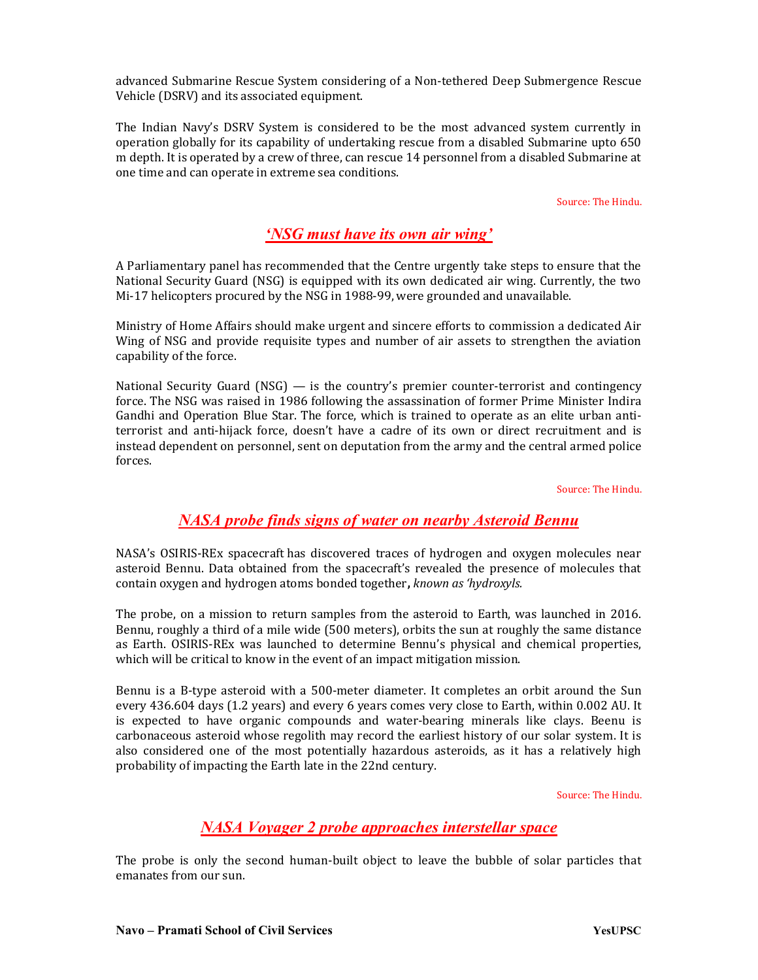advanced Submarine Rescue System considering of a Non-tethered Deep Submergence Rescue Vehicle (DSRV) and its associated equipment.

The Indian Navy's DSRV System is considered to be the most advanced system currently in operation globally for its capability of undertaking rescue from a disabled Submarine upto 650 m depth. It is operated by a crew of three, can rescue 14 personnel from a disabled Submarine at one time and can operate in extreme sea conditions.

Source: The Hindu.

## 'NSG must have its own air wing'

A Parliamentary panel has recommended that the Centre urgently take steps to ensure that the National Security Guard (NSG) is equipped with its own dedicated air wing. Currently, the two Mi-17 helicopters procured by the NSG in 1988-99, were grounded and unavailable.

Ministry of Home Affairs should make urgent and sincere efforts to commission a dedicated Air Wing of NSG and provide requisite types and number of air assets to strengthen the aviation capability of the force.

National Security Guard (NSG) — is the country's premier counter-terrorist and contingency force. The NSG was raised in 1986 following the assassination of former Prime Minister Indira Gandhi and Operation Blue Star. The force, which is trained to operate as an elite urban antiterrorist and anti-hijack force, doesn't have a cadre of its own or direct recruitment and is instead dependent on personnel, sent on deputation from the army and the central armed police forces.

Source: The Hindu.

## NASA probe finds signs of water on nearby Asteroid Bennu

NASA's OSIRIS-REx spacecraft has discovered traces of hydrogen and oxygen molecules near asteroid Bennu. Data obtained from the spacecraft's revealed the presence of molecules that contain oxygen and hydrogen atoms bonded together, known as 'hydroxyls.

The probe, on a mission to return samples from the asteroid to Earth, was launched in 2016. Bennu, roughly a third of a mile wide (500 meters), orbits the sun at roughly the same distance as Earth. OSIRIS-REx was launched to determine Bennu's physical and chemical properties, which will be critical to know in the event of an impact mitigation mission.

Bennu is a B-type asteroid with a 500-meter diameter. It completes an orbit around the Sun every 436.604 days (1.2 years) and every 6 years comes very close to Earth, within 0.002 AU. It is expected to have organic compounds and water-bearing minerals like clays. Beenu is carbonaceous asteroid whose regolith may record the earliest history of our solar system. It is also considered one of the most potentially hazardous asteroids, as it has a relatively high probability of impacting the Earth late in the 22nd century.

Source: The Hindu.

## NASA Voyager 2 probe approaches interstellar space

The probe is only the second human-built object to leave the bubble of solar particles that emanates from our sun.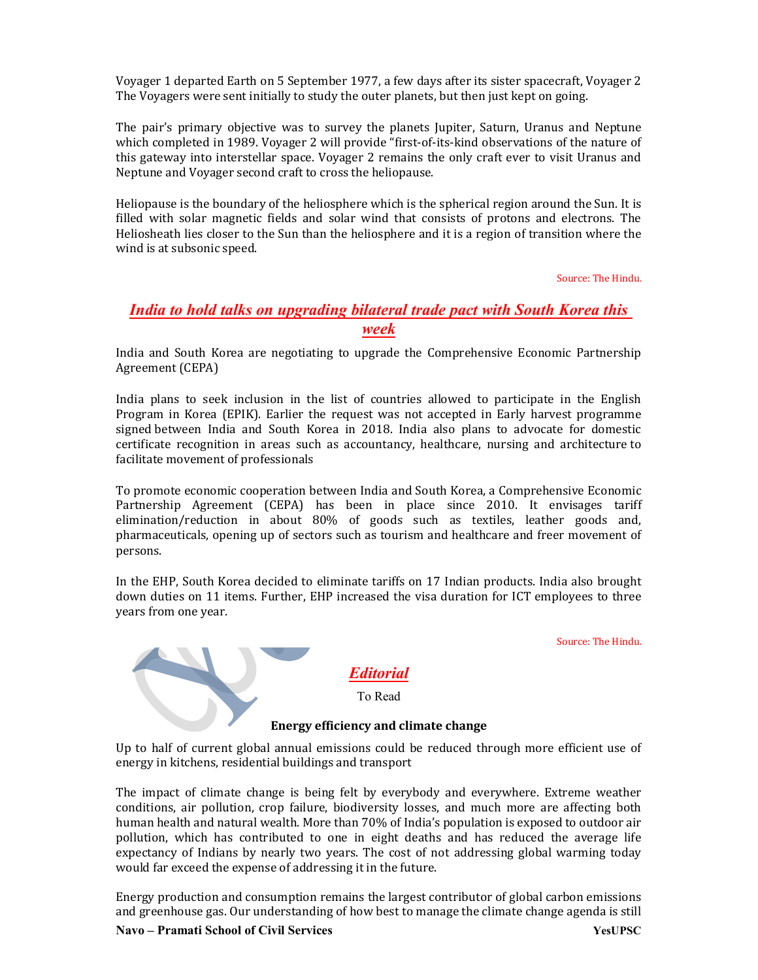Voyager 1 departed Earth on 5 September 1977, a few days after its sister spacecraft, Voyager 2 The Voyagers were sent initially to study the outer planets, but then just kept on going.

The pair's primary objective was to survey the planets Jupiter, Saturn, Uranus and Neptune which completed in 1989. Voyager 2 will provide "first-of-its-kind observations of the nature of this gateway into interstellar space. Voyager 2 remains the only craft ever to visit Uranus and Neptune and Voyager second craft to cross the heliopause.

Heliopause is the boundary of the heliosphere which is the spherical region around the Sun. It is filled with solar magnetic fields and solar wind that consists of protons and electrons. The Heliosheath lies closer to the Sun than the heliosphere and it is a region of transition where the wind is at subsonic speed.

Source: The Hindu.

Source: The Hindu.

#### India to hold talks on upgrading bilateral trade pact with South Korea this week

India and South Korea are negotiating to upgrade the Comprehensive Economic Partnership Agreement (CEPA)

India plans to seek inclusion in the list of countries allowed to participate in the English Program in Korea (EPIK). Earlier the request was not accepted in Early harvest programme signed between India and South Korea in 2018. India also plans to advocate for domestic certificate recognition in areas such as accountancy, healthcare, nursing and architecture to facilitate movement of professionals

To promote economic cooperation between India and South Korea, a Comprehensive Economic Partnership Agreement (CEPA) has been in place since 2010. It envisages tariff elimination/reduction in about 80% of goods such as textiles, leather goods and, pharmaceuticals, opening up of sectors such as tourism and healthcare and freer movement of persons.

In the EHP, South Korea decided to eliminate tariffs on 17 Indian products. India also brought down duties on 11 items. Further, EHP increased the visa duration for ICT employees to three years from one year.

Editorial To Read

#### Energy efficiency and climate change

Up to half of current global annual emissions could be reduced through more efficient use of energy in kitchens, residential buildings and transport

The impact of climate change is being felt by everybody and everywhere. Extreme weather conditions, air pollution, crop failure, biodiversity losses, and much more are affecting both human health and natural wealth. More than 70% of India's population is exposed to outdoor air pollution, which has contributed to one in eight deaths and has reduced the average life expectancy of Indians by nearly two years. The cost of not addressing global warming today would far exceed the expense of addressing it in the future.

Energy production and consumption remains the largest contributor of global carbon emissions and greenhouse gas. Our understanding of how best to manage the climate change agenda is still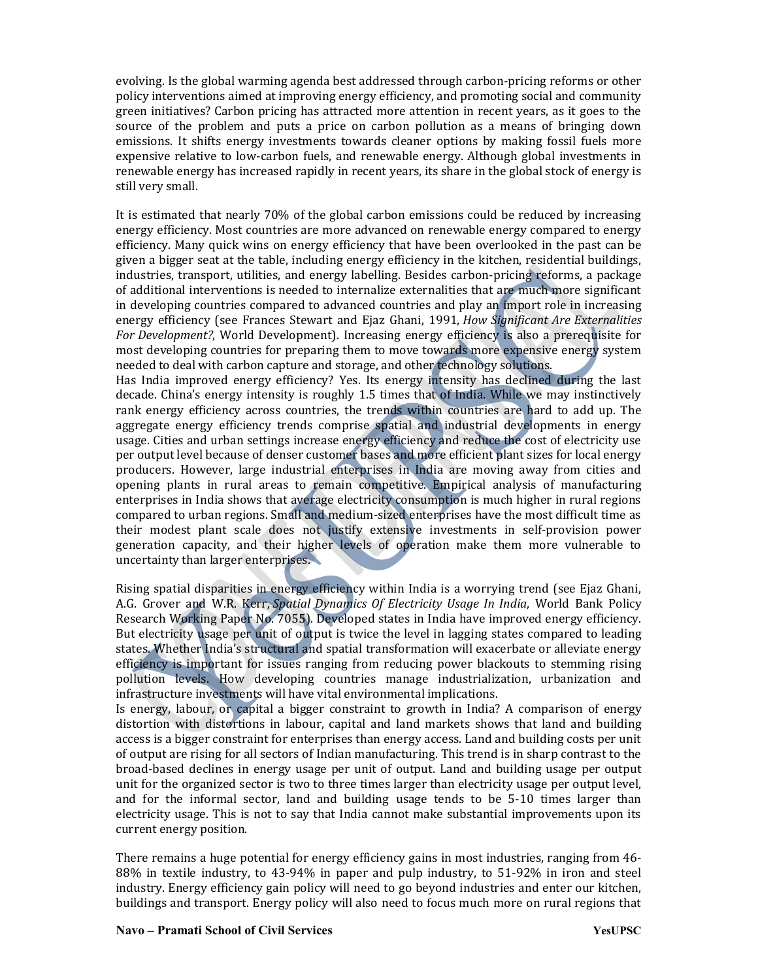evolving. Is the global warming agenda best addressed through carbon-pricing reforms or other policy interventions aimed at improving energy efficiency, and promoting social and community green initiatives? Carbon pricing has attracted more attention in recent years, as it goes to the source of the problem and puts a price on carbon pollution as a means of bringing down emissions. It shifts energy investments towards cleaner options by making fossil fuels more expensive relative to low-carbon fuels, and renewable energy. Although global investments in renewable energy has increased rapidly in recent years, its share in the global stock of energy is still very small.

It is estimated that nearly 70% of the global carbon emissions could be reduced by increasing energy efficiency. Most countries are more advanced on renewable energy compared to energy efficiency. Many quick wins on energy efficiency that have been overlooked in the past can be given a bigger seat at the table, including energy efficiency in the kitchen, residential buildings, industries, transport, utilities, and energy labelling. Besides carbon-pricing reforms, a package of additional interventions is needed to internalize externalities that are much more significant in developing countries compared to advanced countries and play an import role in increasing energy efficiency (see Frances Stewart and Ejaz Ghani, 1991, How Significant Are Externalities For Development?, World Development). Increasing energy efficiency is also a prerequisite for most developing countries for preparing them to move towards more expensive energy system needed to deal with carbon capture and storage, and other technology solutions.

Has India improved energy efficiency? Yes. Its energy intensity has declined during the last decade. China's energy intensity is roughly 1.5 times that of India. While we may instinctively rank energy efficiency across countries, the trends within countries are hard to add up. The aggregate energy efficiency trends comprise spatial and industrial developments in energy usage. Cities and urban settings increase energy efficiency and reduce the cost of electricity use per output level because of denser customer bases and more efficient plant sizes for local energy producers. However, large industrial enterprises in India are moving away from cities and opening plants in rural areas to remain competitive. Empirical analysis of manufacturing enterprises in India shows that average electricity consumption is much higher in rural regions compared to urban regions. Small and medium-sized enterprises have the most difficult time as their modest plant scale does not justify extensive investments in self-provision power generation capacity, and their higher levels of operation make them more vulnerable to uncertainty than larger enterprises.

Rising spatial disparities in energy efficiency within India is a worrying trend (see Ejaz Ghani, A.G. Grover and W.R. Kerr, Spatial Dynamics Of Electricity Usage In India, World Bank Policy Research Working Paper No. 7055). Developed states in India have improved energy efficiency. But electricity usage per unit of output is twice the level in lagging states compared to leading states. Whether India's structural and spatial transformation will exacerbate or alleviate energy efficiency is important for issues ranging from reducing power blackouts to stemming rising pollution levels. How developing countries manage industrialization, urbanization and infrastructure investments will have vital environmental implications.

Is energy, labour, or capital a bigger constraint to growth in India? A comparison of energy distortion with distortions in labour, capital and land markets shows that land and building access is a bigger constraint for enterprises than energy access. Land and building costs per unit of output are rising for all sectors of Indian manufacturing. This trend is in sharp contrast to the broad-based declines in energy usage per unit of output. Land and building usage per output unit for the organized sector is two to three times larger than electricity usage per output level, and for the informal sector, land and building usage tends to be 5-10 times larger than electricity usage. This is not to say that India cannot make substantial improvements upon its current energy position.

There remains a huge potential for energy efficiency gains in most industries, ranging from 46- 88% in textile industry, to 43-94% in paper and pulp industry, to 51-92% in iron and steel industry. Energy efficiency gain policy will need to go beyond industries and enter our kitchen, buildings and transport. Energy policy will also need to focus much more on rural regions that